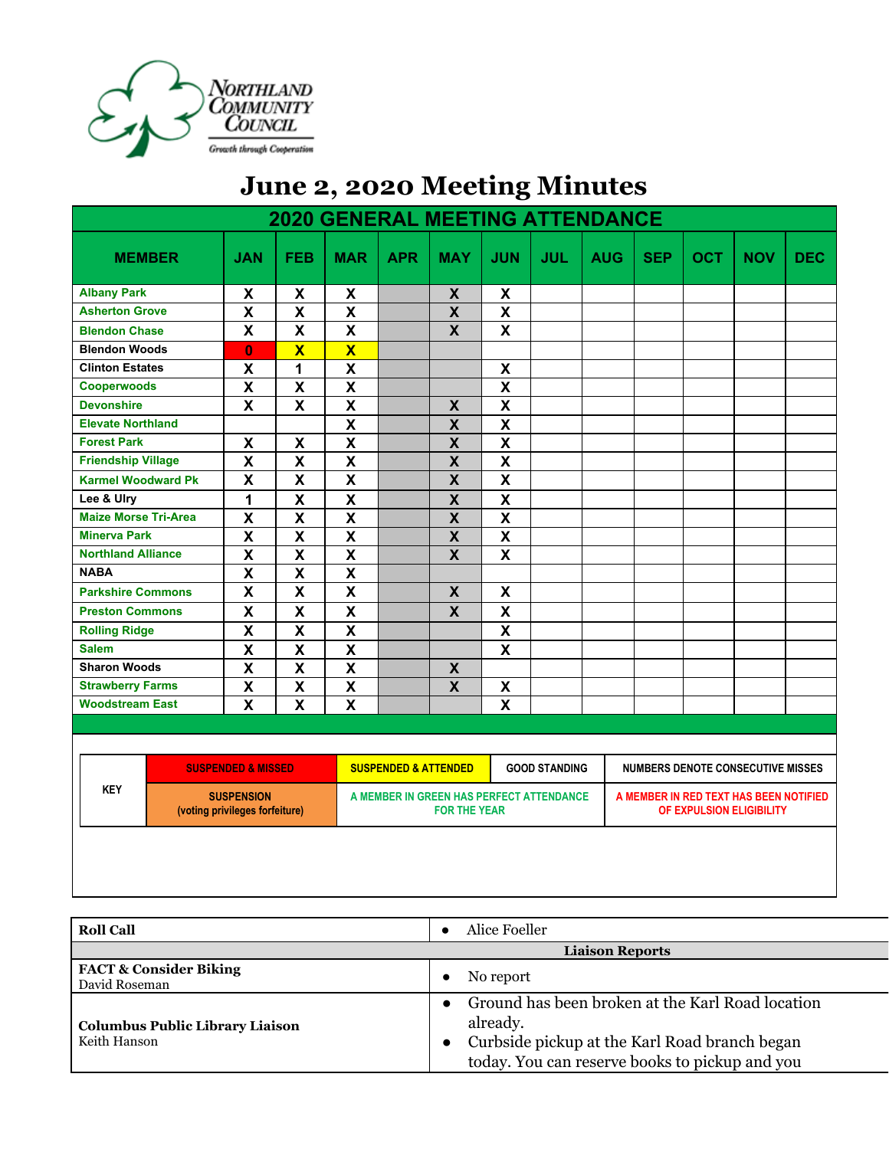

## **June 2, 2020 Meeting Minutes**

| <b>2020 GENERAL MEETING ATTENDANCE</b> |                                                     |                           |                                                         |                                                                 |                           |                           |                                          |                                                                    |            |            |            |            |
|----------------------------------------|-----------------------------------------------------|---------------------------|---------------------------------------------------------|-----------------------------------------------------------------|---------------------------|---------------------------|------------------------------------------|--------------------------------------------------------------------|------------|------------|------------|------------|
| <b>MEMBER</b>                          | <b>JAN</b>                                          | <b>FEB</b>                | <b>MAR</b>                                              | <b>APR</b>                                                      | <b>MAY</b>                | <b>JUN</b>                | <b>JUL</b>                               | <b>AUG</b>                                                         | <b>SEP</b> | <b>OCT</b> | <b>NOV</b> | <b>DEC</b> |
| <b>Albany Park</b>                     | X                                                   | X                         | X                                                       |                                                                 | X                         | X                         |                                          |                                                                    |            |            |            |            |
| <b>Asherton Grove</b>                  | $\boldsymbol{\mathsf{X}}$                           | $\pmb{\mathsf{X}}$        | $\boldsymbol{\mathsf{X}}$                               |                                                                 | $\boldsymbol{X}$          | $\pmb{\mathsf{X}}$        |                                          |                                                                    |            |            |            |            |
| <b>Blendon Chase</b>                   | X                                                   | $\boldsymbol{\mathsf{x}}$ | X                                                       |                                                                 | $\mathsf{X}$              | X                         |                                          |                                                                    |            |            |            |            |
| <b>Blendon Woods</b>                   | $\mathbf{0}$                                        | $\overline{\mathbf{X}}$   | $\overline{\mathbf{X}}$                                 |                                                                 |                           |                           |                                          |                                                                    |            |            |            |            |
| <b>Clinton Estates</b>                 | $\boldsymbol{\mathsf{X}}$                           | 1                         | $\pmb{\mathsf{X}}$                                      |                                                                 |                           | X                         |                                          |                                                                    |            |            |            |            |
| Cooperwoods                            | X                                                   | $\pmb{\mathsf{X}}$        | $\pmb{\mathsf{X}}$                                      |                                                                 |                           | $\boldsymbol{\mathsf{X}}$ |                                          |                                                                    |            |            |            |            |
| <b>Devonshire</b>                      | $\boldsymbol{\mathsf{X}}$                           | X                         | $\pmb{\mathsf{X}}$                                      |                                                                 | X                         | $\pmb{\mathsf{X}}$        |                                          |                                                                    |            |            |            |            |
| <b>Elevate Northland</b>               |                                                     |                           | $\mathsf{X}$                                            |                                                                 | $\boldsymbol{X}$          | $\pmb{\mathsf{X}}$        |                                          |                                                                    |            |            |            |            |
| <b>Forest Park</b>                     | $\pmb{\mathsf{X}}$                                  | $\pmb{\mathsf{X}}$        | $\mathsf{X}$                                            |                                                                 | $\pmb{\mathsf{X}}$        | $\mathsf{X}$              |                                          |                                                                    |            |            |            |            |
| <b>Friendship Village</b>              | $\mathbf x$                                         | $\pmb{\mathsf{X}}$        | $\overline{\mathbf{X}}$                                 |                                                                 | $\pmb{\mathsf{X}}$        | $\overline{\mathbf{X}}$   |                                          |                                                                    |            |            |            |            |
| <b>Karmel Woodward Pk</b>              | X                                                   | $\boldsymbol{\mathsf{x}}$ | $\boldsymbol{\mathsf{x}}$                               |                                                                 | $\boldsymbol{\mathsf{X}}$ | $\boldsymbol{\mathsf{X}}$ |                                          |                                                                    |            |            |            |            |
| Lee & Ulry                             | 1                                                   | $\pmb{\mathsf{X}}$        | $\pmb{\mathsf{X}}$                                      |                                                                 | $\pmb{\mathsf{X}}$        | $\pmb{\mathsf{X}}$        |                                          |                                                                    |            |            |            |            |
| <b>Maize Morse Tri-Area</b>            | $\mathbf x$                                         | $\pmb{\mathsf{X}}$        | $\overline{\mathbf{X}}$                                 |                                                                 | $\boldsymbol{\mathsf{X}}$ | $\mathbf x$               |                                          |                                                                    |            |            |            |            |
| <b>Minerva Park</b>                    | $\mathbf x$                                         | $\overline{\mathbf{X}}$   | $\overline{\mathbf{X}}$                                 |                                                                 | $\pmb{\mathsf{X}}$        | $\mathbf x$               |                                          |                                                                    |            |            |            |            |
| <b>Northland Alliance</b>              | $\overline{\mathbf{X}}$                             | $\overline{\mathbf{X}}$   | $\overline{\mathbf{X}}$                                 |                                                                 | $\overline{\mathbf{X}}$   | $\overline{\mathbf{x}}$   |                                          |                                                                    |            |            |            |            |
| <b>NABA</b>                            | $\mathsf{x}$                                        | $\boldsymbol{\mathsf{X}}$ | $\overline{\mathbf{X}}$                                 |                                                                 |                           |                           |                                          |                                                                    |            |            |            |            |
| <b>Parkshire Commons</b>               | $\overline{\mathbf{x}}$                             | $\overline{\mathbf{x}}$   | $\overline{\mathbf{x}}$                                 |                                                                 | $\boldsymbol{\mathsf{X}}$ | $\boldsymbol{\mathsf{x}}$ |                                          |                                                                    |            |            |            |            |
| <b>Preston Commons</b>                 | $\overline{\mathbf{x}}$                             | $\overline{\mathbf{x}}$   | $\overline{\mathbf{x}}$                                 |                                                                 | $\overline{\mathbf{x}}$   | $\overline{\mathbf{x}}$   |                                          |                                                                    |            |            |            |            |
| <b>Rolling Ridge</b>                   | $\mathbf x$                                         | $\pmb{\mathsf{X}}$        | $\overline{\mathbf{X}}$                                 |                                                                 |                           | $\overline{\mathbf{X}}$   |                                          |                                                                    |            |            |            |            |
| <b>Salem</b>                           | $\overline{\mathbf{X}}$                             | $\overline{\mathbf{x}}$   | $\overline{\mathbf{X}}$                                 |                                                                 |                           | $\overline{\mathbf{x}}$   |                                          |                                                                    |            |            |            |            |
| <b>Sharon Woods</b>                    | $\mathsf{x}$                                        | $\boldsymbol{\mathsf{X}}$ | $\overline{\mathbf{X}}$                                 |                                                                 | $\boldsymbol{X}$          |                           |                                          |                                                                    |            |            |            |            |
| <b>Strawberry Farms</b>                | $\overline{\mathbf{X}}$                             | $\overline{\mathbf{x}}$   | $\overline{\mathbf{x}}$                                 |                                                                 | $\boldsymbol{\mathsf{X}}$ | $\pmb{\mathsf{X}}$        |                                          |                                                                    |            |            |            |            |
| <b>Woodstream East</b>                 | X                                                   | $\mathbf{x}$              | $\overline{\mathbf{x}}$                                 |                                                                 |                           | $\overline{\mathbf{x}}$   |                                          |                                                                    |            |            |            |            |
|                                        |                                                     |                           |                                                         |                                                                 |                           |                           |                                          |                                                                    |            |            |            |            |
| <b>SUSPENDED &amp; MISSED</b>          |                                                     |                           | <b>SUSPENDED &amp; ATTENDED</b><br><b>GOOD STANDING</b> |                                                                 |                           |                           | <b>NUMBERS DENOTE CONSECUTIVE MISSES</b> |                                                                    |            |            |            |            |
| <b>KEY</b>                             | <b>SUSPENSION</b><br>(voting privileges forfeiture) |                           |                                                         | A MEMBER IN GREEN HAS PERFECT ATTENDANCE<br><b>FOR THE YEAR</b> |                           |                           |                                          | A MEMBER IN RED TEXT HAS BEEN NOTIFIED<br>OF EXPULSION ELIGIBILITY |            |            |            |            |
|                                        |                                                     |                           |                                                         |                                                                 |                           |                           |                                          |                                                                    |            |            |            |            |

| <b>Roll Call</b>                                       | Alice Foeller                                                                                                                                                                |
|--------------------------------------------------------|------------------------------------------------------------------------------------------------------------------------------------------------------------------------------|
|                                                        | <b>Liaison Reports</b>                                                                                                                                                       |
| <b>FACT &amp; Consider Biking</b><br>David Roseman     | No report                                                                                                                                                                    |
| <b>Columbus Public Library Liaison</b><br>Keith Hanson | Ground has been broken at the Karl Road location<br>already.<br>Curbside pickup at the Karl Road branch began<br>$\bullet$<br>today. You can reserve books to pickup and you |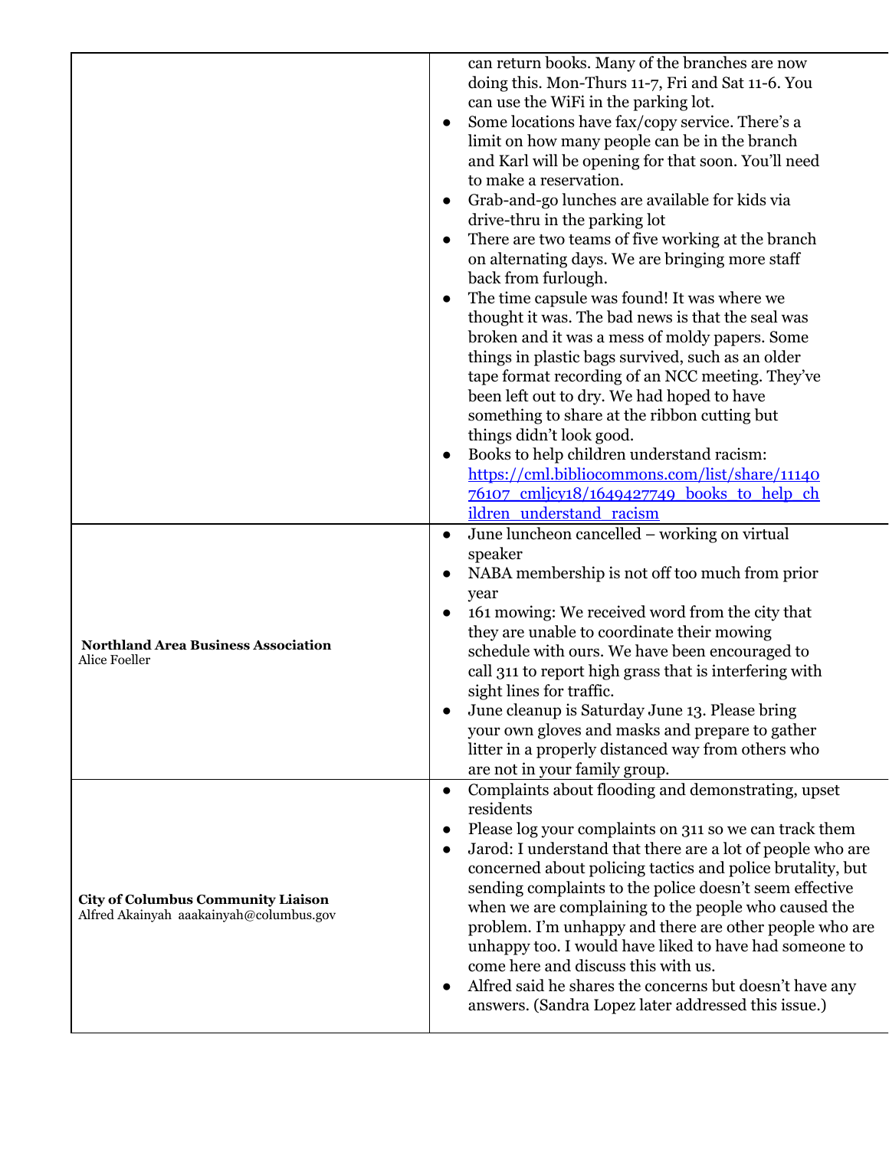|                                                                                      | can return books. Many of the branches are now<br>doing this. Mon-Thurs 11-7, Fri and Sat 11-6. You<br>can use the WiFi in the parking lot.<br>Some locations have fax/copy service. There's a<br>limit on how many people can be in the branch<br>and Karl will be opening for that soon. You'll need<br>to make a reservation.<br>Grab-and-go lunches are available for kids via<br>drive-thru in the parking lot<br>There are two teams of five working at the branch<br>on alternating days. We are bringing more staff<br>back from furlough.<br>The time capsule was found! It was where we<br>thought it was. The bad news is that the seal was              |
|--------------------------------------------------------------------------------------|---------------------------------------------------------------------------------------------------------------------------------------------------------------------------------------------------------------------------------------------------------------------------------------------------------------------------------------------------------------------------------------------------------------------------------------------------------------------------------------------------------------------------------------------------------------------------------------------------------------------------------------------------------------------|
|                                                                                      | broken and it was a mess of moldy papers. Some<br>things in plastic bags survived, such as an older<br>tape format recording of an NCC meeting. They've<br>been left out to dry. We had hoped to have<br>something to share at the ribbon cutting but<br>things didn't look good.<br>Books to help children understand racism:<br>https://cml.bibliocommons.com/list/share/11140<br>76107 cmlicy18/1649427749 books to help ch<br>ildren understand racism                                                                                                                                                                                                          |
| <b>Northland Area Business Association</b><br>Alice Foeller                          | June luncheon cancelled – working on virtual<br>$\bullet$<br>speaker<br>NABA membership is not off too much from prior<br>year<br>161 mowing: We received word from the city that<br>$\bullet$<br>they are unable to coordinate their mowing<br>schedule with ours. We have been encouraged to<br>call 311 to report high grass that is interfering with<br>sight lines for traffic.<br>June cleanup is Saturday June 13. Please bring<br>your own gloves and masks and prepare to gather<br>litter in a properly distanced way from others who<br>are not in your family group.                                                                                    |
| <b>City of Columbus Community Liaison</b><br>Alfred Akainyah aaakainyah@columbus.gov | Complaints about flooding and demonstrating, upset<br>$\bullet$<br>residents<br>Please log your complaints on 311 so we can track them<br>Jarod: I understand that there are a lot of people who are<br>concerned about policing tactics and police brutality, but<br>sending complaints to the police doesn't seem effective<br>when we are complaining to the people who caused the<br>problem. I'm unhappy and there are other people who are<br>unhappy too. I would have liked to have had someone to<br>come here and discuss this with us.<br>Alfred said he shares the concerns but doesn't have any<br>answers. (Sandra Lopez later addressed this issue.) |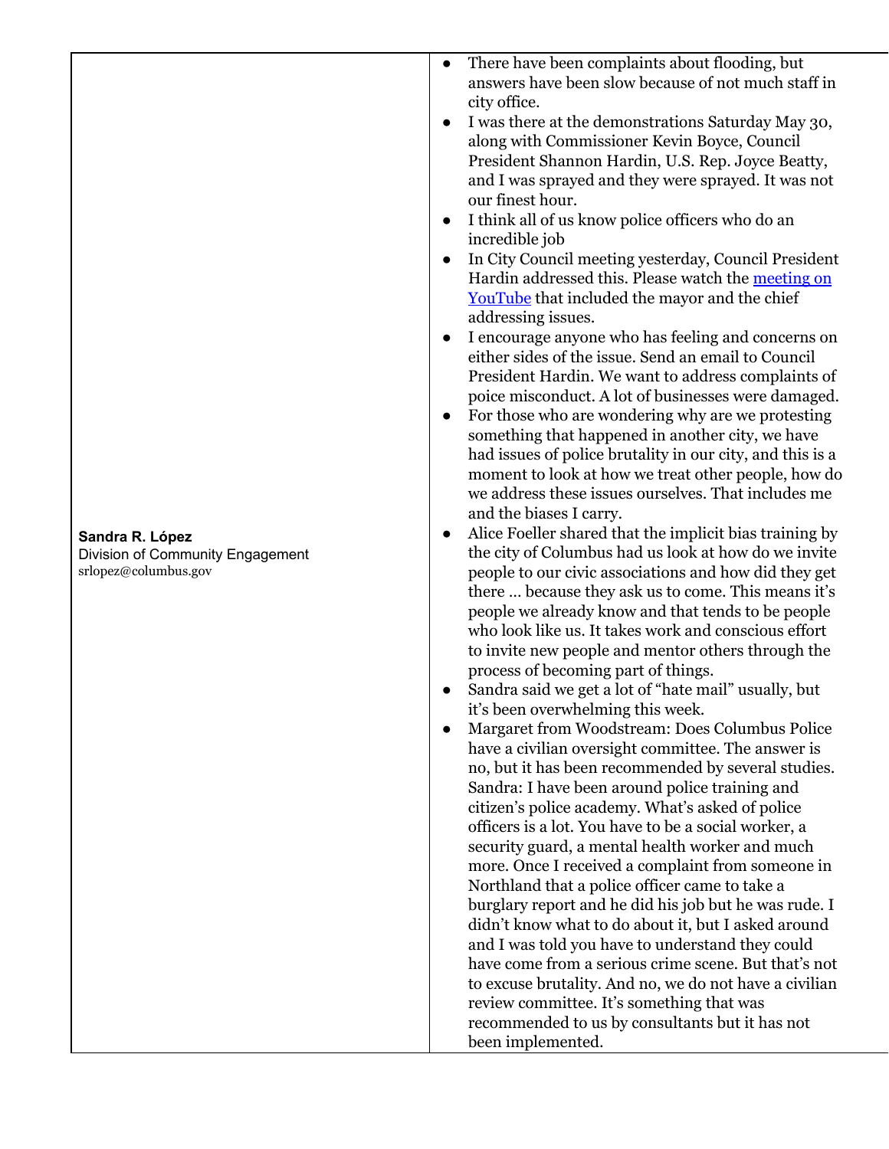| Sandra R. López                  |
|----------------------------------|
| Division of Community Engagement |
| srlopez@columbus.gov             |

- $\bullet$ There have been complaints about flooding, but answers have been slow because of not much staff in city office.
- I was there at the demonstrations Saturday May 30, along with Commissioner Kevin Boyce, Council President Shannon Hardin, U.S. Rep. Joyce Beatty, and I was sprayed and they were sprayed. It was not our finest hour.
- I think all of us know police officers who do an i n c r e d i b l e j o b
- In City Council meeting yesterday, Council President Hardin addressed this. Please watch the [m](https://youtube.com/watch?v=iZsoBm9yFw4)eeting on You[T](https://youtube.com/watch?v=iZsoBm9yFw4)ube that included the mayor and the chief addressing issues.
- $\bullet$ I encourage anyone who has feeling and concerns on either sides of the issue. Send an email to Council President Hardin. We want to address complaints of poice misconduct. A lot of businesses were damaged.
- $\bullet$ For those who are wondering why are we protesting something that happened in another city, we have had issues of police brutality in our city, and this is a moment to look at how we treat other people, how do we address these issues ourselves. That includes me and the biases I carry.
- Alice Foeller shared that the implicit bias training by the city of Columbus had us look at how do we invite people to our civic associations and how did they get there ... because they ask us to come. This means it's people we already know and that tends to be people who look like us. It takes work and conscious effort to invite new people and mentor others through the process of becoming part of things.
- $\bullet$ Sandra said we get a lot of "hate mail" usually, but it's been overwhelming this week.
- $\bullet$ Margaret from Woodstream: Does Columbus Police have a civilian oversight committee. The answer is no, but it has been recommended by several studies. Sandra: I have been around police training and citizen's police academy. What's asked of police officers is a lot. You have to be a social worker, a security guard, a mental health worker and much more. Once I received a complaint from someone in Northland that a police officer came to take a burglary report and he did his job but he was rude. I didn't know what to do about it, but I asked around and I was told you have to understand they could have come from a serious crime scene. But that's not to excuse brutality. And no, we do not have a civilian review committee. It's something that was recommended to us by consultants but it has not been implemented.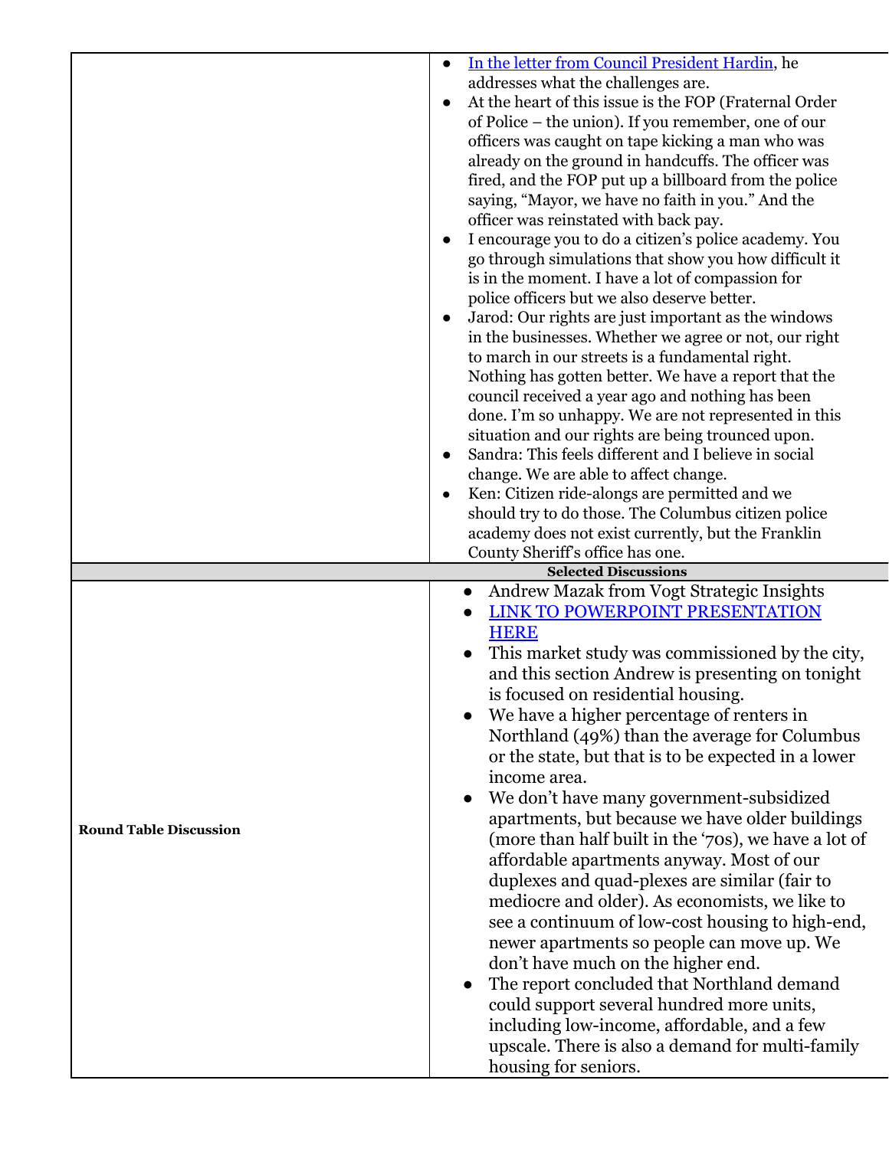|                               | In the letter from Council President Hardin, he<br>$\bullet$<br>addresses what the challenges are.<br>At the heart of this issue is the FOP (Fraternal Order<br>of Police – the union). If you remember, one of our<br>officers was caught on tape kicking a man who was<br>already on the ground in handcuffs. The officer was<br>fired, and the FOP put up a billboard from the police<br>saying, "Mayor, we have no faith in you." And the<br>officer was reinstated with back pay.<br>I encourage you to do a citizen's police academy. You<br>go through simulations that show you how difficult it<br>is in the moment. I have a lot of compassion for<br>police officers but we also deserve better.<br>Jarod: Our rights are just important as the windows<br>$\bullet$<br>in the businesses. Whether we agree or not, our right<br>to march in our streets is a fundamental right.<br>Nothing has gotten better. We have a report that the<br>council received a year ago and nothing has been<br>done. I'm so unhappy. We are not represented in this<br>situation and our rights are being trounced upon.<br>Sandra: This feels different and I believe in social<br>$\bullet$<br>change. We are able to affect change.<br>Ken: Citizen ride-alongs are permitted and we<br>should try to do those. The Columbus citizen police<br>academy does not exist currently, but the Franklin<br>County Sheriff's office has one. |
|-------------------------------|--------------------------------------------------------------------------------------------------------------------------------------------------------------------------------------------------------------------------------------------------------------------------------------------------------------------------------------------------------------------------------------------------------------------------------------------------------------------------------------------------------------------------------------------------------------------------------------------------------------------------------------------------------------------------------------------------------------------------------------------------------------------------------------------------------------------------------------------------------------------------------------------------------------------------------------------------------------------------------------------------------------------------------------------------------------------------------------------------------------------------------------------------------------------------------------------------------------------------------------------------------------------------------------------------------------------------------------------------------------------------------------------------------------------------------------|
| <b>Round Table Discussion</b> | <b>Selected Discussions</b><br>Andrew Mazak from Vogt Strategic Insights<br>$\bullet$<br><b>LINK TO POWERPOINT PRESENTATION</b><br><b>HERE</b><br>This market study was commissioned by the city,<br>and this section Andrew is presenting on tonight<br>is focused on residential housing.<br>We have a higher percentage of renters in<br>Northland (49%) than the average for Columbus<br>or the state, but that is to be expected in a lower<br>income area.<br>We don't have many government-subsidized<br>apartments, but because we have older buildings<br>(more than half built in the '70s), we have a lot of<br>affordable apartments anyway. Most of our<br>duplexes and quad-plexes are similar (fair to<br>mediocre and older). As economists, we like to<br>see a continuum of low-cost housing to high-end,<br>newer apartments so people can move up. We<br>don't have much on the higher end.<br>The report concluded that Northland demand<br>could support several hundred more units,<br>including low-income, affordable, and a few<br>upscale. There is also a demand for multi-family<br>housing for seniors.                                                                                                                                                                                                                                                                                                |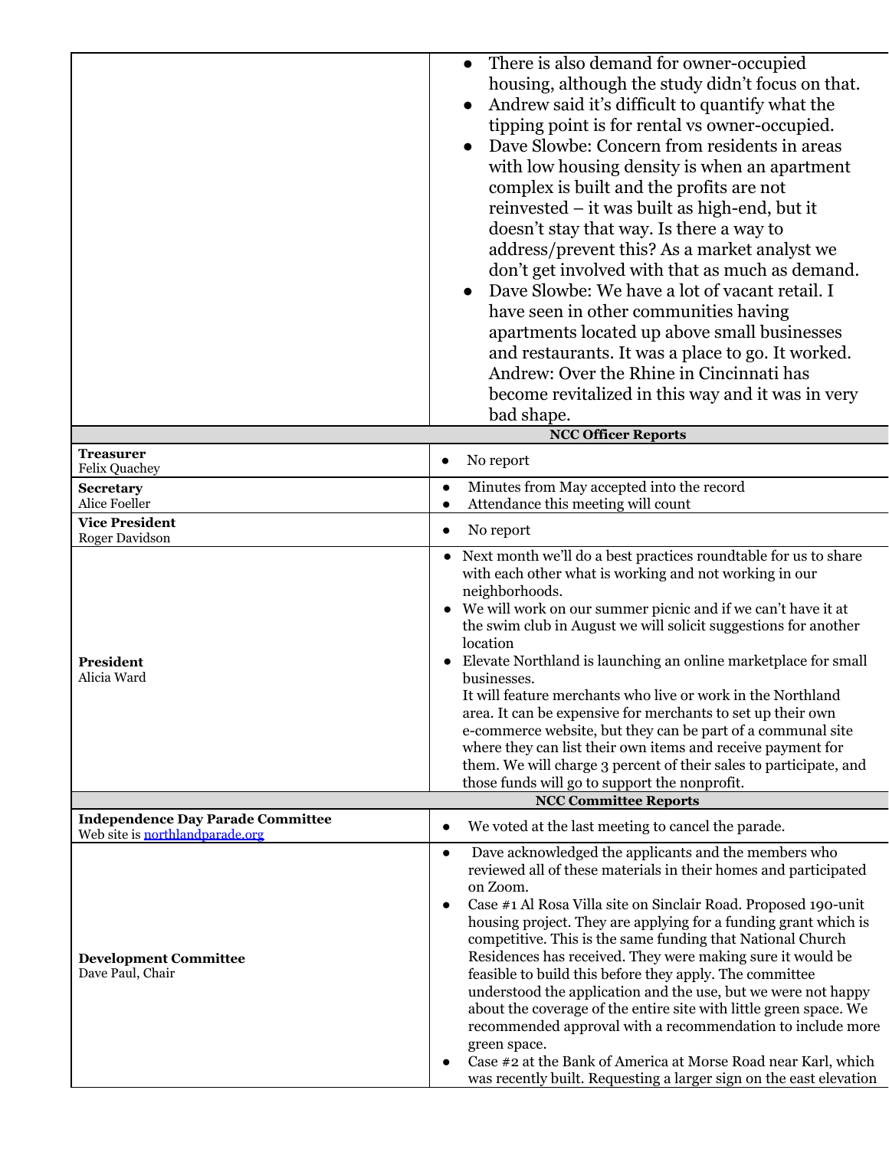| • There is also demand for owner-occupied<br>housing, although the study didn't focus on that.<br>• Andrew said it's difficult to quantify what the<br>tipping point is for rental vs owner-occupied.<br>• Dave Slowbe: Concern from residents in areas<br>with low housing density is when an apartment<br>complex is built and the profits are not<br>reinvested – it was built as high-end, but it |
|-------------------------------------------------------------------------------------------------------------------------------------------------------------------------------------------------------------------------------------------------------------------------------------------------------------------------------------------------------------------------------------------------------|
| doesn't stay that way. Is there a way to<br>address/prevent this? As a market analyst we                                                                                                                                                                                                                                                                                                              |
| don't get involved with that as much as demand.                                                                                                                                                                                                                                                                                                                                                       |
| • Dave Slowbe: We have a lot of vacant retail. I                                                                                                                                                                                                                                                                                                                                                      |
| have seen in other communities having                                                                                                                                                                                                                                                                                                                                                                 |
| apartments located up above small businesses                                                                                                                                                                                                                                                                                                                                                          |
| and restaurants. It was a place to go. It worked.                                                                                                                                                                                                                                                                                                                                                     |
| Andrew: Over the Rhine in Cincinnati has                                                                                                                                                                                                                                                                                                                                                              |
| become revitalized in this way and it was in very                                                                                                                                                                                                                                                                                                                                                     |
| bad shape.                                                                                                                                                                                                                                                                                                                                                                                            |

|                                                                             | <b>NCC Officer Reports</b>                                                                                                                                                                                                                                                                                                                                                                                                                                                                                                                                                                                                                                                                                                                                                                                                                           |  |  |  |  |
|-----------------------------------------------------------------------------|------------------------------------------------------------------------------------------------------------------------------------------------------------------------------------------------------------------------------------------------------------------------------------------------------------------------------------------------------------------------------------------------------------------------------------------------------------------------------------------------------------------------------------------------------------------------------------------------------------------------------------------------------------------------------------------------------------------------------------------------------------------------------------------------------------------------------------------------------|--|--|--|--|
| <b>Treasurer</b><br>Felix Quachey                                           | No report<br>$\bullet$                                                                                                                                                                                                                                                                                                                                                                                                                                                                                                                                                                                                                                                                                                                                                                                                                               |  |  |  |  |
| <b>Secretary</b><br>Alice Foeller                                           | Minutes from May accepted into the record<br>$\bullet$<br>Attendance this meeting will count<br>$\bullet$                                                                                                                                                                                                                                                                                                                                                                                                                                                                                                                                                                                                                                                                                                                                            |  |  |  |  |
| <b>Vice President</b><br>Roger Davidson                                     | No report<br>$\bullet$                                                                                                                                                                                                                                                                                                                                                                                                                                                                                                                                                                                                                                                                                                                                                                                                                               |  |  |  |  |
| <b>President</b><br>Alicia Ward                                             | Next month we'll do a best practices roundtable for us to share<br>with each other what is working and not working in our<br>neighborhoods.<br>• We will work on our summer picnic and if we can't have it at<br>the swim club in August we will solicit suggestions for another<br>location<br>Elevate Northland is launching an online marketplace for small<br>businesses.<br>It will feature merchants who live or work in the Northland<br>area. It can be expensive for merchants to set up their own<br>e-commerce website, but they can be part of a communal site<br>where they can list their own items and receive payment for<br>them. We will charge 3 percent of their sales to participate, and<br>those funds will go to support the nonprofit.                                                                                      |  |  |  |  |
|                                                                             | <b>NCC Committee Reports</b>                                                                                                                                                                                                                                                                                                                                                                                                                                                                                                                                                                                                                                                                                                                                                                                                                         |  |  |  |  |
| <b>Independence Day Parade Committee</b><br>Web site is northlandparade.org | We voted at the last meeting to cancel the parade.<br>$\bullet$                                                                                                                                                                                                                                                                                                                                                                                                                                                                                                                                                                                                                                                                                                                                                                                      |  |  |  |  |
| <b>Development Committee</b><br>Dave Paul, Chair                            | Dave acknowledged the applicants and the members who<br>$\bullet$<br>reviewed all of these materials in their homes and participated<br>on Zoom.<br>Case #1 Al Rosa Villa site on Sinclair Road. Proposed 190-unit<br>$\bullet$<br>housing project. They are applying for a funding grant which is<br>competitive. This is the same funding that National Church<br>Residences has received. They were making sure it would be<br>feasible to build this before they apply. The committee<br>understood the application and the use, but we were not happy<br>about the coverage of the entire site with little green space. We<br>recommended approval with a recommendation to include more<br>green space.<br>Case #2 at the Bank of America at Morse Road near Karl, which<br>was recently built. Requesting a larger sign on the east elevation |  |  |  |  |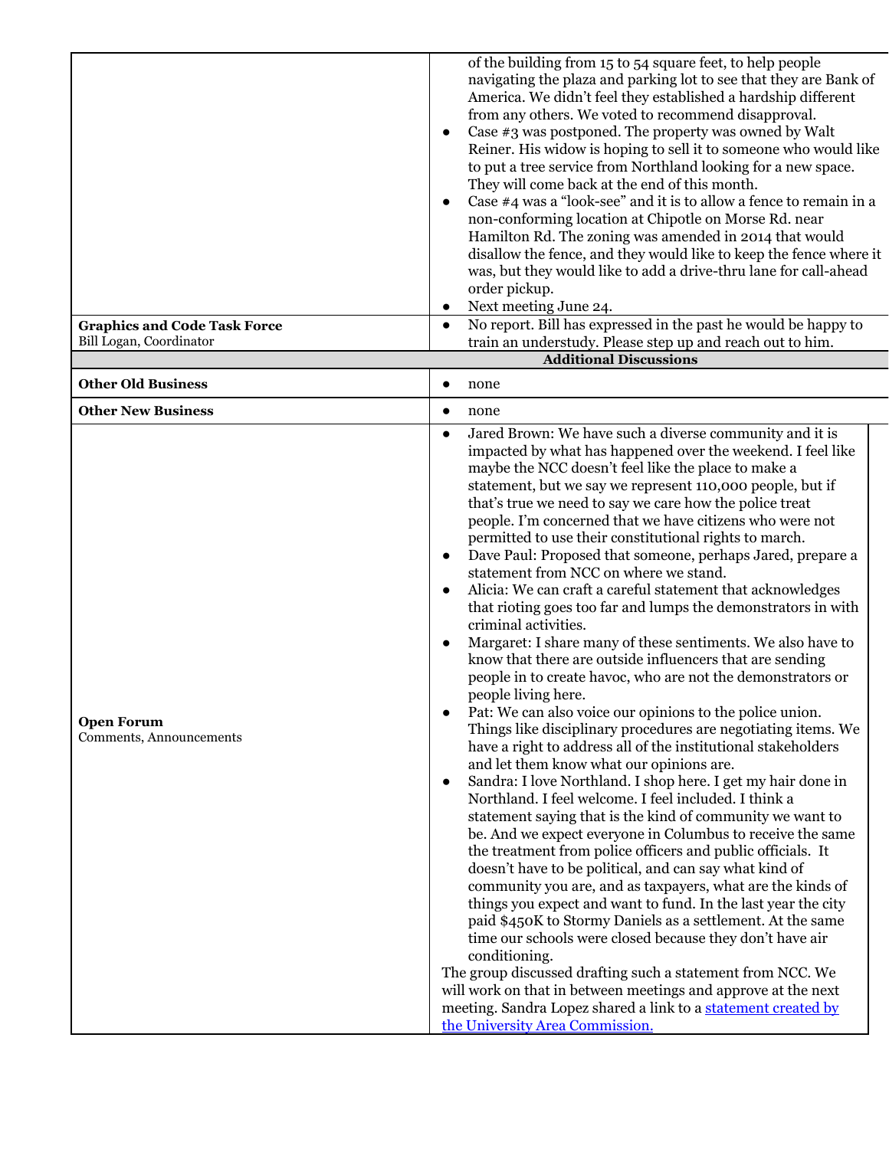|                                              | of the building from 15 to 54 square feet, to help people<br>navigating the plaza and parking lot to see that they are Bank of<br>America. We didn't feel they established a hardship different<br>from any others. We voted to recommend disapproval.<br>Case #3 was postponed. The property was owned by Walt<br>$\bullet$<br>Reiner. His widow is hoping to sell it to someone who would like<br>to put a tree service from Northland looking for a new space.<br>They will come back at the end of this month.<br>Case #4 was a "look-see" and it is to allow a fence to remain in a<br>$\bullet$<br>non-conforming location at Chipotle on Morse Rd. near<br>Hamilton Rd. The zoning was amended in 2014 that would<br>disallow the fence, and they would like to keep the fence where it<br>was, but they would like to add a drive-thru lane for call-ahead<br>order pickup.<br>Next meeting June 24.<br>$\bullet$                                                                                                                                                                                                                                                                                                                                                                                                                                                                                                                                                                                                                                                                                                                                                                                                                                                                                                                                                                                                                                                                                                                                                                                       |
|----------------------------------------------|-----------------------------------------------------------------------------------------------------------------------------------------------------------------------------------------------------------------------------------------------------------------------------------------------------------------------------------------------------------------------------------------------------------------------------------------------------------------------------------------------------------------------------------------------------------------------------------------------------------------------------------------------------------------------------------------------------------------------------------------------------------------------------------------------------------------------------------------------------------------------------------------------------------------------------------------------------------------------------------------------------------------------------------------------------------------------------------------------------------------------------------------------------------------------------------------------------------------------------------------------------------------------------------------------------------------------------------------------------------------------------------------------------------------------------------------------------------------------------------------------------------------------------------------------------------------------------------------------------------------------------------------------------------------------------------------------------------------------------------------------------------------------------------------------------------------------------------------------------------------------------------------------------------------------------------------------------------------------------------------------------------------------------------------------------------------------------------------------------------------|
| <b>Graphics and Code Task Force</b>          | No report. Bill has expressed in the past he would be happy to<br>$\bullet$                                                                                                                                                                                                                                                                                                                                                                                                                                                                                                                                                                                                                                                                                                                                                                                                                                                                                                                                                                                                                                                                                                                                                                                                                                                                                                                                                                                                                                                                                                                                                                                                                                                                                                                                                                                                                                                                                                                                                                                                                                     |
| Bill Logan, Coordinator                      | train an understudy. Please step up and reach out to him.                                                                                                                                                                                                                                                                                                                                                                                                                                                                                                                                                                                                                                                                                                                                                                                                                                                                                                                                                                                                                                                                                                                                                                                                                                                                                                                                                                                                                                                                                                                                                                                                                                                                                                                                                                                                                                                                                                                                                                                                                                                       |
|                                              | <b>Additional Discussions</b>                                                                                                                                                                                                                                                                                                                                                                                                                                                                                                                                                                                                                                                                                                                                                                                                                                                                                                                                                                                                                                                                                                                                                                                                                                                                                                                                                                                                                                                                                                                                                                                                                                                                                                                                                                                                                                                                                                                                                                                                                                                                                   |
| <b>Other Old Business</b>                    | none<br>$\bullet$                                                                                                                                                                                                                                                                                                                                                                                                                                                                                                                                                                                                                                                                                                                                                                                                                                                                                                                                                                                                                                                                                                                                                                                                                                                                                                                                                                                                                                                                                                                                                                                                                                                                                                                                                                                                                                                                                                                                                                                                                                                                                               |
| <b>Other New Business</b>                    | none<br>$\bullet$                                                                                                                                                                                                                                                                                                                                                                                                                                                                                                                                                                                                                                                                                                                                                                                                                                                                                                                                                                                                                                                                                                                                                                                                                                                                                                                                                                                                                                                                                                                                                                                                                                                                                                                                                                                                                                                                                                                                                                                                                                                                                               |
| <b>Open Forum</b><br>Comments, Announcements | Jared Brown: We have such a diverse community and it is<br>$\bullet$<br>impacted by what has happened over the weekend. I feel like<br>maybe the NCC doesn't feel like the place to make a<br>statement, but we say we represent 110,000 people, but if<br>that's true we need to say we care how the police treat<br>people. I'm concerned that we have citizens who were not<br>permitted to use their constitutional rights to march.<br>Dave Paul: Proposed that someone, perhaps Jared, prepare a<br>$\bullet$<br>statement from NCC on where we stand.<br>Alicia: We can craft a careful statement that acknowledges<br>$\bullet$<br>that rioting goes too far and lumps the demonstrators in with<br>criminal activities.<br>Margaret: I share many of these sentiments. We also have to<br>$\bullet$<br>know that there are outside influencers that are sending<br>people in to create havoc, who are not the demonstrators or<br>people living here.<br>Pat: We can also voice our opinions to the police union.<br>Things like disciplinary procedures are negotiating items. We<br>have a right to address all of the institutional stakeholders<br>and let them know what our opinions are.<br>Sandra: I love Northland. I shop here. I get my hair done in<br>$\bullet$<br>Northland. I feel welcome. I feel included. I think a<br>statement saying that is the kind of community we want to<br>be. And we expect everyone in Columbus to receive the same<br>the treatment from police officers and public officials. It<br>doesn't have to be political, and can say what kind of<br>community you are, and as taxpayers, what are the kinds of<br>things you expect and want to fund. In the last year the city<br>paid \$450K to Stormy Daniels as a settlement. At the same<br>time our schools were closed because they don't have air<br>conditioning.<br>The group discussed drafting such a statement from NCC. We<br>will work on that in between meetings and approve at the next<br>meeting. Sandra Lopez shared a link to a statement created by<br>the University Area Commission. |